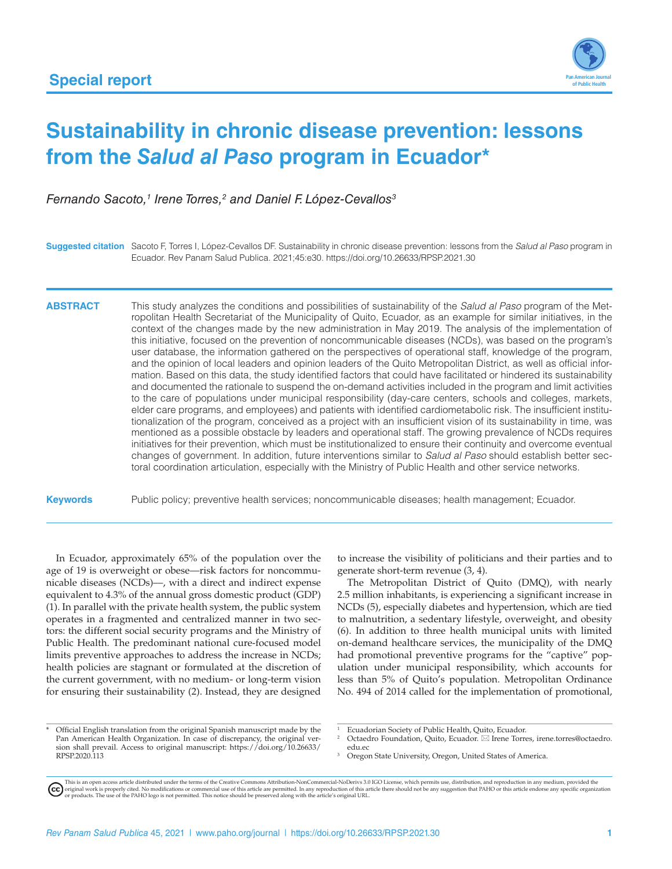

# **Sustainability in chronic disease prevention: lessons from the** *Salud al Paso* **program in Ecuador\***

*Fernando Sacoto,1 Irene Torres,2 and Daniel F. López-Cevallos3*

**Suggested citation** Sacoto F, Torres I, López-Cevallos DF. Sustainability in chronic disease prevention: lessons from the *Salud al Paso* program in Ecuador. Rev Panam Salud Publica. 2021;45:e30.<https://doi.org/10.26633/RPSP.2021.30>

**ABSTRACT** This study analyzes the conditions and possibilities of sustainability of the *Salud al Paso* program of the Metropolitan Health Secretariat of the Municipality of Quito, Ecuador, as an example for similar initiatives, in the context of the changes made by the new administration in May 2019. The analysis of the implementation of this initiative, focused on the prevention of noncommunicable diseases (NCDs), was based on the program's user database, the information gathered on the perspectives of operational staff, knowledge of the program, and the opinion of local leaders and opinion leaders of the Quito Metropolitan District, as well as official information. Based on this data, the study identified factors that could have facilitated or hindered its sustainability and documented the rationale to suspend the on-demand activities included in the program and limit activities to the care of populations under municipal responsibility (day-care centers, schools and colleges, markets, elder care programs, and employees) and patients with identified cardiometabolic risk. The insufficient institutionalization of the program, conceived as a project with an insufficient vision of its sustainability in time, was mentioned as a possible obstacle by leaders and operational staff. The growing prevalence of NCDs requires initiatives for their prevention, which must be institutionalized to ensure their continuity and overcome eventual changes of government. In addition, future interventions similar to *Salud al Paso* should establish better sectoral coordination articulation, especially with the Ministry of Public Health and other service networks.

**Keywords** Public policy; preventive health services; noncommunicable diseases; health management; Ecuador.

In Ecuador, approximately 65% of the population over the age of 19 is overweight or obese—risk factors for noncommunicable diseases (NCDs)––, with a direct and indirect expense equivalent to 4.3% of the annual gross domestic product (GDP) (1). In parallel with the private health system, the public system operates in a fragmented and centralized manner in two sectors: the different social security programs and the Ministry of Public Health. The predominant national cure-focused model limits preventive approaches to address the increase in NCDs; health policies are stagnant or formulated at the discretion of the current government, with no medium- or long-term vision for ensuring their sustainability (2). Instead, they are designed

to increase the visibility of politicians and their parties and to generate short-term revenue (3, 4).

The Metropolitan District of Quito (DMQ), with nearly 2.5 million inhabitants, is experiencing a significant increase in NCDs (5), especially diabetes and hypertension, which are tied to malnutrition, a sedentary lifestyle, overweight, and obesity (6). In addition to three health municipal units with limited on-demand healthcare services, the municipality of the DMQ had promotional preventive programs for the "captive" population under municipal responsibility, which accounts for less than 5% of Quito's population. Metropolitan Ordinance No. 494 of 2014 called for the implementation of promotional,

- <sup>2</sup> Octaedro Foundation, Quito, Ecuador. \* Irene Torres, [irene.torres@octaedro.](mailto:irene.torres@octaedro.edu.ec) [edu.ec](mailto:irene.torres@octaedro.edu.ec)
- Oregon State University, Oregon, United States of America.

Official English translation from the original Spanish manuscript made by the Pan American Health Organization. In case of discrepancy, the original version shall prevail. Access to original manuscript: [https://doi.org/10.26633/](https://doi.org/10.26633/RPSP.2020.113) [RPSP.2020.113](https://doi.org/10.26633/RPSP.2020.113)

Ecuadorian Society of Public Health, Quito, Ecuador.

This is an open access article distributed under the terms of the [Creative Commons Attribution-NonCommercial-NoDerivs 3.0 IGO License](https://creativecommons.org/licenses/by-nc-nd/3.0/igo/legalcode), which permits use, distribution, and reproduction in any medium, provided the<br>orignal w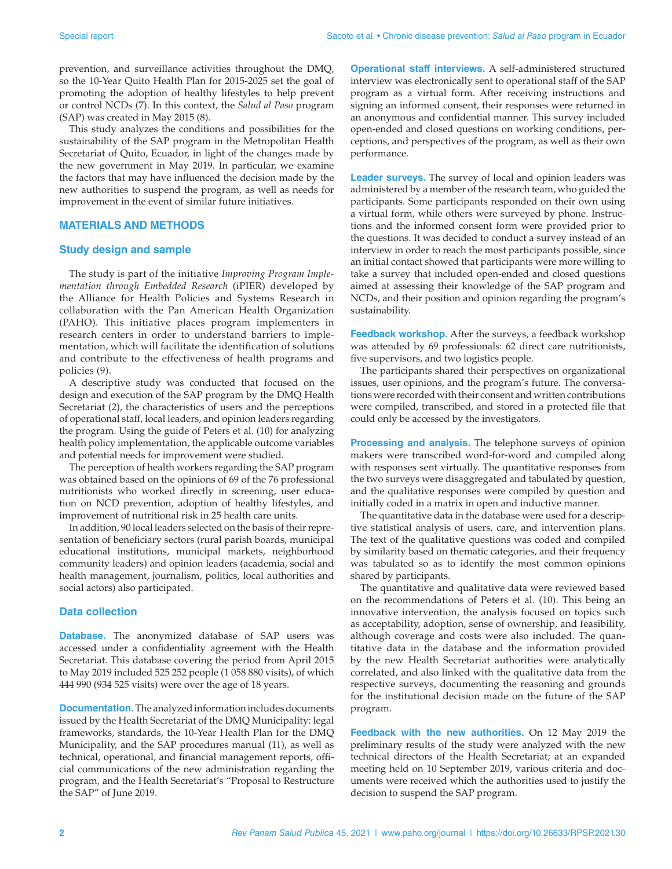prevention, and surveillance activities throughout the DMQ, so the 10-Year Quito Health Plan for 2015-2025 set the goal of promoting the adoption of healthy lifestyles to help prevent or control NCDs (7). In this context, the *Salud al Paso* program (SAP) was created in May 2015 (8).

This study analyzes the conditions and possibilities for the sustainability of the SAP program in the Metropolitan Health Secretariat of Quito, Ecuador, in light of the changes made by the new government in May 2019. In particular, we examine the factors that may have influenced the decision made by the new authorities to suspend the program, as well as needs for improvement in the event of similar future initiatives.

## **MATERIALS AND METHODS**

#### **Study design and sample**

The study is part of the initiative *Improving Program Implementation through Embedded Research* (iPIER) developed by the Alliance for Health Policies and Systems Research in collaboration with the Pan American Health Organization (PAHO). This initiative places program implementers in research centers in order to understand barriers to implementation, which will facilitate the identification of solutions and contribute to the effectiveness of health programs and policies (9).

A descriptive study was conducted that focused on the design and execution of the SAP program by the DMQ Health Secretariat (2), the characteristics of users and the perceptions of operational staff, local leaders, and opinion leaders regarding the program. Using the guide of Peters et al. (10) for analyzing health policy implementation, the applicable outcome variables and potential needs for improvement were studied.

The perception of health workers regarding the SAP program was obtained based on the opinions of 69 of the 76 professional nutritionists who worked directly in screening, user education on NCD prevention, adoption of healthy lifestyles, and improvement of nutritional risk in 25 health care units.

In addition, 90 local leaders selected on the basis of their representation of beneficiary sectors (rural parish boards, municipal educational institutions, municipal markets, neighborhood community leaders) and opinion leaders (academia, social and health management, journalism, politics, local authorities and social actors) also participated.

#### **Data collection**

**Database.** The anonymized database of SAP users was accessed under a confidentiality agreement with the Health Secretariat. This database covering the period from April 2015 to May 2019 included 525 252 people (1 058 880 visits), of which 444 990 (934 525 visits) were over the age of 18 years.

**Documentation.** The analyzed information includes documents issued by the Health Secretariat of the DMQ Municipality: legal frameworks, standards, the 10-Year Health Plan for the DMQ Municipality, and the SAP procedures manual (11), as well as technical, operational, and financial management reports, official communications of the new administration regarding the program, and the Health Secretariat's "Proposal to Restructure the SAP" of June 2019.

**Operational staff interviews.** A self-administered structured interview was electronically sent to operational staff of the SAP program as a virtual form. After receiving instructions and signing an informed consent, their responses were returned in an anonymous and confidential manner. This survey included open-ended and closed questions on working conditions, perceptions, and perspectives of the program, as well as their own performance.

**Leader surveys.** The survey of local and opinion leaders was administered by a member of the research team, who guided the participants. Some participants responded on their own using a virtual form, while others were surveyed by phone. Instructions and the informed consent form were provided prior to the questions. It was decided to conduct a survey instead of an interview in order to reach the most participants possible, since an initial contact showed that participants were more willing to take a survey that included open-ended and closed questions aimed at assessing their knowledge of the SAP program and NCDs, and their position and opinion regarding the program's sustainability.

**Feedback workshop.** After the surveys, a feedback workshop was attended by 69 professionals: 62 direct care nutritionists, five supervisors, and two logistics people.

The participants shared their perspectives on organizational issues, user opinions, and the program's future. The conversations were recorded with their consent and written contributions were compiled, transcribed, and stored in a protected file that could only be accessed by the investigators.

**Processing and analysis.** The telephone surveys of opinion makers were transcribed word-for-word and compiled along with responses sent virtually. The quantitative responses from the two surveys were disaggregated and tabulated by question, and the qualitative responses were compiled by question and initially coded in a matrix in open and inductive manner.

The quantitative data in the database were used for a descriptive statistical analysis of users, care, and intervention plans. The text of the qualitative questions was coded and compiled by similarity based on thematic categories, and their frequency was tabulated so as to identify the most common opinions shared by participants.

The quantitative and qualitative data were reviewed based on the recommendations of Peters et al. (10). This being an innovative intervention, the analysis focused on topics such as acceptability, adoption, sense of ownership, and feasibility, although coverage and costs were also included. The quantitative data in the database and the information provided by the new Health Secretariat authorities were analytically correlated, and also linked with the qualitative data from the respective surveys, documenting the reasoning and grounds for the institutional decision made on the future of the SAP program.

**Feedback with the new authorities.** On 12 May 2019 the preliminary results of the study were analyzed with the new technical directors of the Health Secretariat; at an expanded meeting held on 10 September 2019, various criteria and documents were received which the authorities used to justify the decision to suspend the SAP program.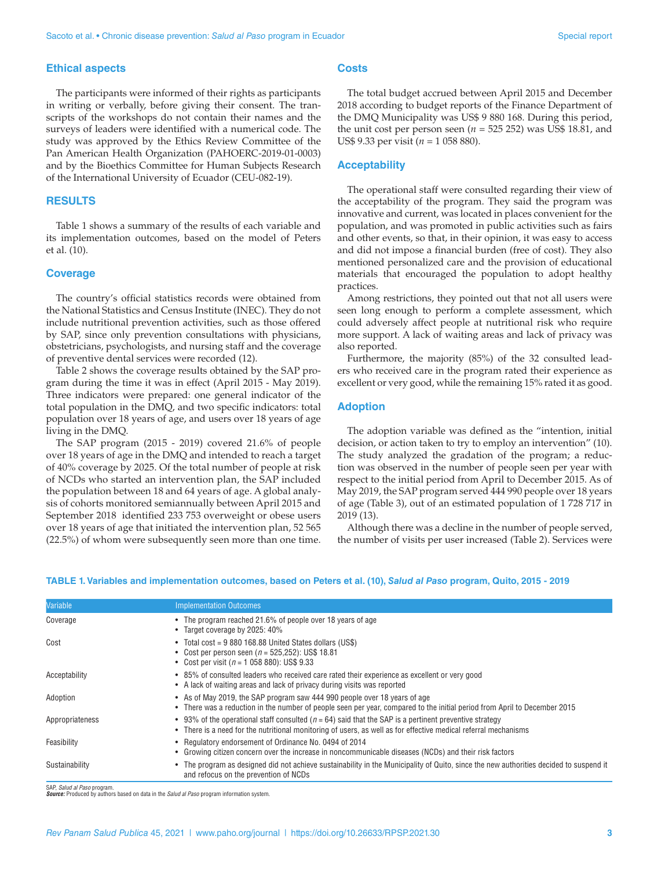#### **Ethical aspects**

The participants were informed of their rights as participants in writing or verbally, before giving their consent. The transcripts of the workshops do not contain their names and the surveys of leaders were identified with a numerical code. The study was approved by the Ethics Review Committee of the Pan American Health Organization (PAHOERC-2019-01-0003) and by the Bioethics Committee for Human Subjects Research of the International University of Ecuador (CEU-082-19).

## **RESULTS**

Table 1 shows a summary of the results of each variable and its implementation outcomes, based on the model of Peters et al. (10).

#### **Coverage**

The country's official statistics records were obtained from the National Statistics and Census Institute (INEC). They do not include nutritional prevention activities, such as those offered by SAP, since only prevention consultations with physicians, obstetricians, psychologists, and nursing staff and the coverage of preventive dental services were recorded (12).

Table 2 shows the coverage results obtained by the SAP program during the time it was in effect (April 2015 - May 2019). Three indicators were prepared: one general indicator of the total population in the DMQ, and two specific indicators: total population over 18 years of age, and users over 18 years of age living in the DMQ.

The SAP program (2015 - 2019) covered 21.6% of people over 18 years of age in the DMQ and intended to reach a target of 40% coverage by 2025. Of the total number of people at risk of NCDs who started an intervention plan, the SAP included the population between 18 and 64 years of age. A global analysis of cohorts monitored semiannually between April 2015 and September 2018 identified 233 753 overweight or obese users over 18 years of age that initiated the intervention plan, 52 565 (22.5%) of whom were subsequently seen more than one time.

## **Costs**

The total budget accrued between April 2015 and December 2018 according to budget reports of the Finance Department of the DMQ Municipality was US\$ 9 880 168. During this period, the unit cost per person seen  $(n = 525 252)$  was US\$ 18.81, and US\$ 9.33 per visit (*n* = 1 058 880).

#### **Acceptability**

The operational staff were consulted regarding their view of the acceptability of the program. They said the program was innovative and current, was located in places convenient for the population, and was promoted in public activities such as fairs and other events, so that, in their opinion, it was easy to access and did not impose a financial burden (free of cost). They also mentioned personalized care and the provision of educational materials that encouraged the population to adopt healthy practices.

Among restrictions, they pointed out that not all users were seen long enough to perform a complete assessment, which could adversely affect people at nutritional risk who require more support. A lack of waiting areas and lack of privacy was also reported.

Furthermore, the majority (85%) of the 32 consulted leaders who received care in the program rated their experience as excellent or very good, while the remaining 15% rated it as good.

## **Adoption**

The adoption variable was defined as the "intention, initial decision, or action taken to try to employ an intervention" (10). The study analyzed the gradation of the program; a reduction was observed in the number of people seen per year with respect to the initial period from April to December 2015. As of May 2019, the SAP program served 444 990 people over 18 years of age (Table 3), out of an estimated population of 1 728 717 in 2019 (13).

Although there was a decline in the number of people served, the number of visits per user increased (Table 2). Services were

| Variable        | <b>Implementation Outcomes</b>                                                                                                                                                                                              |
|-----------------|-----------------------------------------------------------------------------------------------------------------------------------------------------------------------------------------------------------------------------|
| Coverage        | • The program reached 21.6% of people over 18 years of age<br>• Target coverage by 2025: 40%                                                                                                                                |
| Cost            | • Total cost = 9 880 168.88 United States dollars (US\$)<br>• Cost per person seen ( $n = 525,252$ ): US\$ 18.81<br>• Cost per visit ( $n = 105880$ ): US\$ 9.33                                                            |
| Acceptability   | • 85% of consulted leaders who received care rated their experience as excellent or very good<br>• A lack of waiting areas and lack of privacy during visits was reported                                                   |
| Adoption        | • As of May 2019, the SAP program saw 444 990 people over 18 years of age<br>• There was a reduction in the number of people seen per year, compared to the initial period from April to December 2015                      |
| Appropriateness | • 93% of the operational staff consulted ( $n = 64$ ) said that the SAP is a pertinent preventive strategy<br>There is a need for the nutritional monitoring of users, as well as for effective medical referral mechanisms |
| Feasibility     | • Requiatory endorsement of Ordinance No. 0494 of 2014<br>Growing citizen concern over the increase in noncommunicable diseases (NCDs) and their risk factors                                                               |
| Sustainability  | • The program as designed did not achieve sustainability in the Municipality of Quito, since the new authorities decided to suspend it<br>and refocus on the prevention of NCDs                                             |

#### **TABLE 1. Variables and implementation outcomes, based on Peters et al. (10),** *Salud al Paso* **program, Quito, 2015 - 2019**

SAP, *Salud al Paso* program. *Source:* Produced by authors based on data in the *Salud al Paso* program information system.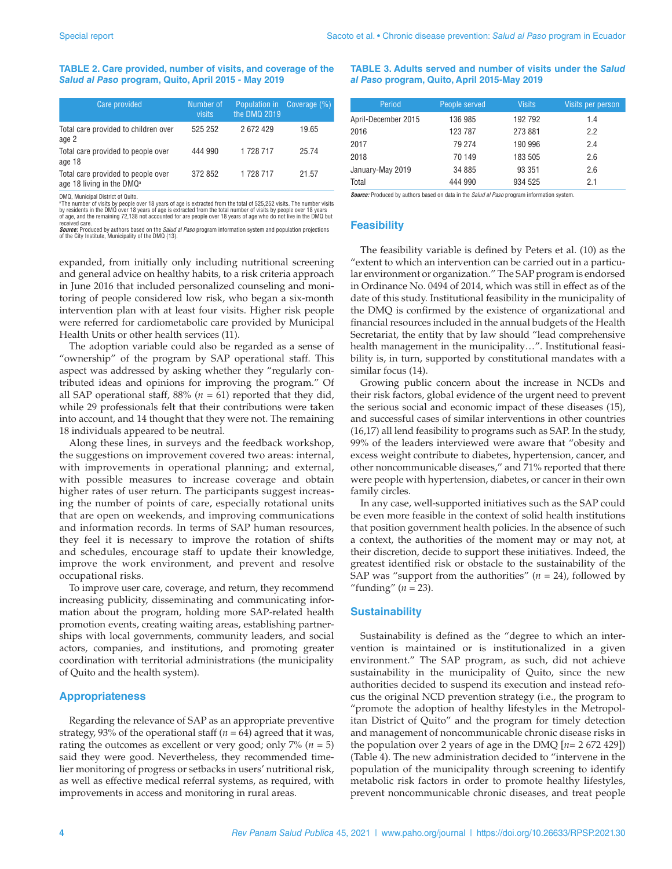#### **TABLE 2. Care provided, number of visits, and coverage of the**  *Salud al Paso* **program, Quito, April 2015 - May 2019**

| Care provided                                                               | Number of<br>visits | Population in<br>the DMQ 2019 | Coverage (%) |
|-----------------------------------------------------------------------------|---------------------|-------------------------------|--------------|
| Total care provided to children over<br>age 2                               | 525 252             | 2672429                       | 19.65        |
| Total care provided to people over<br>age 18                                | 444 990             | 1 728 717                     | 25.74        |
| Total care provided to people over<br>age 18 living in the DMQ <sup>a</sup> | 372 852             | 1728717                       | 21.57        |

DMQ, Municipal District of Quito.

ªThe number of visits by people over 18 years of age is extracted from the total of 525,252 visits. The number visits<br>by residents in the DMQ over 18 years of age is extracted from the total number of visits by people ove received care.

*Source:* Produced by authors based on the *Salud al Paso* program information system and population projections of the City Institute, Municipality of the DMQ (13).

expanded, from initially only including nutritional screening and general advice on healthy habits, to a risk criteria approach in June 2016 that included personalized counseling and monitoring of people considered low risk, who began a six-month intervention plan with at least four visits. Higher risk people were referred for cardiometabolic care provided by Municipal Health Units or other health services (11).

The adoption variable could also be regarded as a sense of "ownership" of the program by SAP operational staff. This aspect was addressed by asking whether they "regularly contributed ideas and opinions for improving the program." Of all SAP operational staff,  $88\%$  ( $n = 61$ ) reported that they did, while 29 professionals felt that their contributions were taken into account, and 14 thought that they were not. The remaining 18 individuals appeared to be neutral.

Along these lines, in surveys and the feedback workshop, the suggestions on improvement covered two areas: internal, with improvements in operational planning; and external, with possible measures to increase coverage and obtain higher rates of user return. The participants suggest increasing the number of points of care, especially rotational units that are open on weekends, and improving communications and information records. In terms of SAP human resources, they feel it is necessary to improve the rotation of shifts and schedules, encourage staff to update their knowledge, improve the work environment, and prevent and resolve occupational risks.

To improve user care, coverage, and return, they recommend increasing publicity, disseminating and communicating information about the program, holding more SAP-related health promotion events, creating waiting areas, establishing partnerships with local governments, community leaders, and social actors, companies, and institutions, and promoting greater coordination with territorial administrations (the municipality of Quito and the health system).

## **Appropriateness**

Regarding the relevance of SAP as an appropriate preventive strategy, 93% of the operational staff (*n* = 64) agreed that it was, rating the outcomes as excellent or very good; only  $7\%$  ( $n = 5$ ) said they were good. Nevertheless, they recommended timelier monitoring of progress or setbacks in users' nutritional risk, as well as effective medical referral systems, as required, with improvements in access and monitoring in rural areas.

**TABLE 3. Adults served and number of visits under the** *Salud al Paso* **program, Quito, April 2015-May 2019**

| Period              | People served | <b>Visits</b> | Visits per person |
|---------------------|---------------|---------------|-------------------|
| April-December 2015 | 136 985       | 192 792       | 1.4               |
| 2016                | 123 787       | 273 881       | 2.2               |
| 2017                | 79 274        | 190 996       | 2.4               |
| 2018                | 70 149        | 183 505       | 2.6               |
| January-May 2019    | 34 885        | 93 351        | 2.6               |
| Total               | 444 990       | 934 525       | 2.1               |

*Source:* Produced by authors based on data in the *Salud al Paso* program information system.

## **Feasibility**

The feasibility variable is defined by Peters et al. (10) as the "extent to which an intervention can be carried out in a particular environment or organization." The SAP program is endorsed in Ordinance No. 0494 of 2014, which was still in effect as of the date of this study. Institutional feasibility in the municipality of the DMQ is confirmed by the existence of organizational and financial resources included in the annual budgets of the Health Secretariat, the entity that by law should "lead comprehensive health management in the municipality…". Institutional feasibility is, in turn, supported by constitutional mandates with a similar focus (14).

Growing public concern about the increase in NCDs and their risk factors, global evidence of the urgent need to prevent the serious social and economic impact of these diseases (15), and successful cases of similar interventions in other countries (16,17) all lend feasibility to programs such as SAP. In the study, 99% of the leaders interviewed were aware that "obesity and excess weight contribute to diabetes, hypertension, cancer, and other noncommunicable diseases," and 71% reported that there were people with hypertension, diabetes, or cancer in their own family circles.

In any case, well-supported initiatives such as the SAP could be even more feasible in the context of solid health institutions that position government health policies. In the absence of such a context, the authorities of the moment may or may not, at their discretion, decide to support these initiatives. Indeed, the greatest identified risk or obstacle to the sustainability of the SAP was "support from the authorities"  $(n = 24)$ , followed by "funding"  $(n = 23)$ .

## **Sustainability**

Sustainability is defined as the "degree to which an intervention is maintained or is institutionalized in a given environment." The SAP program, as such, did not achieve sustainability in the municipality of Quito, since the new authorities decided to suspend its execution and instead refocus the original NCD prevention strategy (i.e., the program to "promote the adoption of healthy lifestyles in the Metropolitan District of Quito" and the program for timely detection and management of noncommunicable chronic disease risks in the population over 2 years of age in the DMQ [*n*= 2 672 429]) (Table 4). The new administration decided to "intervene in the population of the municipality through screening to identify metabolic risk factors in order to promote healthy lifestyles, prevent noncommunicable chronic diseases, and treat people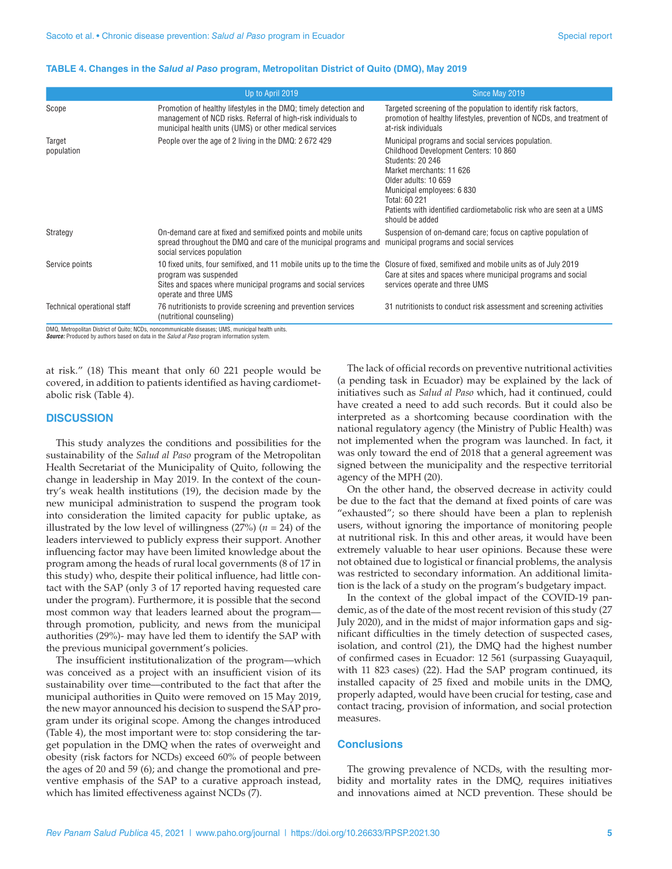#### **TABLE 4. Changes in the** *Salud al Paso* **program, Metropolitan District of Quito (DMQ), May 2019**

|                             | Up to April 2019                                                                                                                                                                            | Since May 2019                                                                                                                                                                                                                                                                                                      |
|-----------------------------|---------------------------------------------------------------------------------------------------------------------------------------------------------------------------------------------|---------------------------------------------------------------------------------------------------------------------------------------------------------------------------------------------------------------------------------------------------------------------------------------------------------------------|
| Scope                       | Promotion of healthy lifestyles in the DMQ; timely detection and<br>management of NCD risks. Referral of high-risk individuals to<br>municipal health units (UMS) or other medical services | Targeted screening of the population to identify risk factors.<br>promotion of healthy lifestyles, prevention of NCDs, and treatment of<br>at-risk individuals                                                                                                                                                      |
| Target<br>population        | People over the age of 2 living in the DMQ: 2 672 429                                                                                                                                       | Municipal programs and social services population.<br>Childhood Development Centers: 10 860<br><b>Students: 20 246</b><br>Market merchants: 11 626<br>Older adults: 10 659<br>Municipal employees: 6 830<br>Total: 60 221<br>Patients with identified cardiometabolic risk who are seen at a UMS<br>should be added |
| Strategy                    | On-demand care at fixed and semifixed points and mobile units<br>spread throughout the DMQ and care of the municipal programs and<br>social services population                             | Suspension of on-demand care; focus on captive population of<br>municipal programs and social services                                                                                                                                                                                                              |
| Service points              | 10 fixed units, four semifixed, and 11 mobile units up to the time the<br>program was suspended<br>Sites and spaces where municipal programs and social services<br>operate and three UMS   | Closure of fixed, semifixed and mobile units as of July 2019<br>Care at sites and spaces where municipal programs and social<br>services operate and three UMS                                                                                                                                                      |
| Technical operational staff | 76 nutritionists to provide screening and prevention services<br>(nutritional counseling)                                                                                                   | 31 nutritionists to conduct risk assessment and screening activities                                                                                                                                                                                                                                                |

DMQ, Metropolitan District of Quito; NCDs, noncommunicable diseases; UMS, municipal health units. *Source:* Produced by authors based on data in the *Salud al Paso* program information system.

at risk." (18) This meant that only 60 221 people would be covered, in addition to patients identified as having cardiometabolic risk (Table 4).

## **DISCUSSION**

This study analyzes the conditions and possibilities for the sustainability of the *Salud al Paso* program of the Metropolitan Health Secretariat of the Municipality of Quito, following the change in leadership in May 2019. In the context of the country's weak health institutions (19), the decision made by the new municipal administration to suspend the program took into consideration the limited capacity for public uptake, as illustrated by the low level of willingness  $(27%)$   $(n = 24)$  of the leaders interviewed to publicly express their support. Another influencing factor may have been limited knowledge about the program among the heads of rural local governments (8 of 17 in this study) who, despite their political influence, had little contact with the SAP (only 3 of 17 reported having requested care under the program). Furthermore, it is possible that the second most common way that leaders learned about the program–– through promotion, publicity, and news from the municipal authorities (29%)- may have led them to identify the SAP with the previous municipal government's policies.

The insufficient institutionalization of the program––which was conceived as a project with an insufficient vision of its sustainability over time––contributed to the fact that after the municipal authorities in Quito were removed on 15 May 2019, the new mayor announced his decision to suspend the SAP program under its original scope. Among the changes introduced (Table 4), the most important were to: stop considering the target population in the DMQ when the rates of overweight and obesity (risk factors for NCDs) exceed 60% of people between the ages of 20 and 59 (6); and change the promotional and preventive emphasis of the SAP to a curative approach instead, which has limited effectiveness against NCDs (7).

The lack of official records on preventive nutritional activities (a pending task in Ecuador) may be explained by the lack of initiatives such as *Salud al Paso* which, had it continued, could have created a need to add such records. But it could also be interpreted as a shortcoming because coordination with the national regulatory agency (the Ministry of Public Health) was not implemented when the program was launched. In fact, it was only toward the end of 2018 that a general agreement was signed between the municipality and the respective territorial agency of the MPH (20).

On the other hand, the observed decrease in activity could be due to the fact that the demand at fixed points of care was "exhausted"; so there should have been a plan to replenish users, without ignoring the importance of monitoring people at nutritional risk. In this and other areas, it would have been extremely valuable to hear user opinions. Because these were not obtained due to logistical or financial problems, the analysis was restricted to secondary information. An additional limitation is the lack of a study on the program's budgetary impact.

In the context of the global impact of the COVID-19 pandemic, as of the date of the most recent revision of this study (27 July 2020), and in the midst of major information gaps and significant difficulties in the timely detection of suspected cases, isolation, and control (21), the DMQ had the highest number of confirmed cases in Ecuador: 12 561 (surpassing Guayaquil, with 11 823 cases) (22). Had the SAP program continued, its installed capacity of 25 fixed and mobile units in the DMQ, properly adapted, would have been crucial for testing, case and contact tracing, provision of information, and social protection measures.

#### **Conclusions**

The growing prevalence of NCDs, with the resulting morbidity and mortality rates in the DMQ, requires initiatives and innovations aimed at NCD prevention. These should be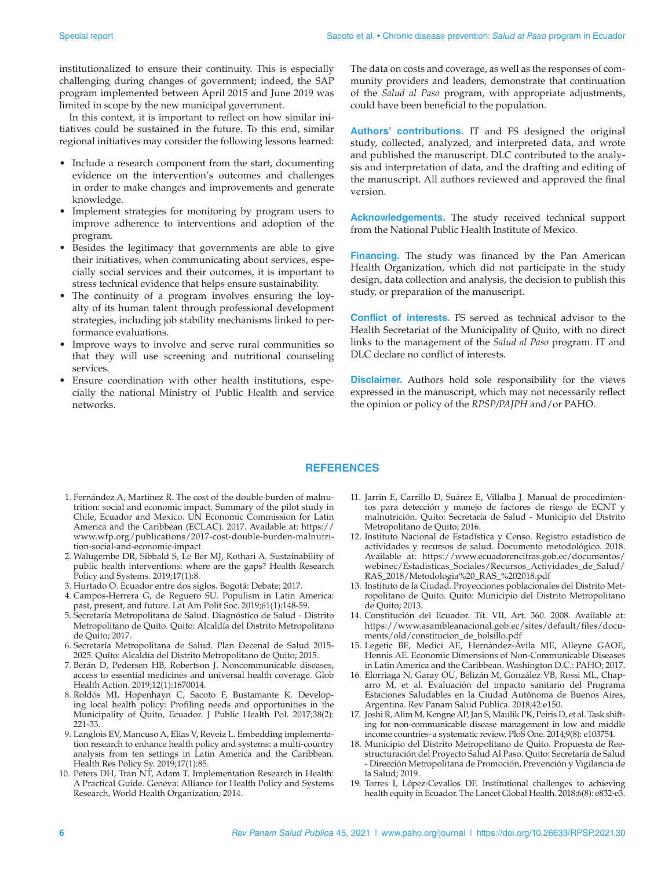institutionalized to ensure their continuity. This is especially challenging during changes of government; indeed, the SAP program implemented between April 2015 and June 2019 was limited in scope by the new municipal government.

In this context, it is important to reflect on how similar initiatives could be sustained in the future. To this end, similar regional initiatives may consider the following lessons learned:

- Include a research component from the start, documenting evidence on the intervention's outcomes and challenges in order to make changes and improvements and generate knowledge.
- Implement strategies for monitoring by program users to improve adherence to interventions and adoption of the program.
- Besides the legitimacy that governments are able to give their initiatives, when communicating about services, especially social services and their outcomes, it is important to stress technical evidence that helps ensure sustainability.
- The continuity of a program involves ensuring the loyalty of its human talent through professional development strategies, including job stability mechanisms linked to performance evaluations.
- Improve ways to involve and serve rural communities so that they will use screening and nutritional counseling services.
- Ensure coordination with other health institutions, especially the national Ministry of Public Health and service networks.

The data on costs and coverage, as well as the responses of community providers and leaders, demonstrate that continuation of the *Salud al Paso* program, with appropriate adjustments, could have been beneficial to the population.

**Authors' contributions.** IT and FS designed the original study, collected, analyzed, and interpreted data, and wrote and published the manuscript. DLC contributed to the analysis and interpretation of data, and the drafting and editing of the manuscript. All authors reviewed and approved the final version.

**Acknowledgements.** The study received technical support from the National Public Health Institute of Mexico.

**Financing.** The study was financed by the Pan American Health Organization, which did not participate in the study design, data collection and analysis, the decision to publish this study, or preparation of the manuscript.

**Conflict of interests.** FS served as technical advisor to the Health Secretariat of the Municipality of Quito, with no direct links to the management of the *Salud al Paso* program. IT and DLC declare no conflict of interests.

**Disclaimer.** Authors hold sole responsibility for the views expressed in the manuscript, which may not necessarily reflect the opinion or policy of the *RPSP/PAJPH* and/or PAHO.

## **REFERENCES**

- 1. Fernández A, Martínez R. The cost of the double burden of malnutrition: social and economic impact. Summary of the pilot study in Chile, Ecuador and Mexico. UN Economic Commission for Latin America and the Caribbean (ECLAC). 2017. Available at: [https://](https://www.wfp.org/publications/2017-cost-double-burden-malnutrition-social-and-economic-impact) [www.wfp.org/publications/2017-cost-double-burden-malnutri](https://www.wfp.org/publications/2017-cost-double-burden-malnutrition-social-and-economic-impact)[tion-social-and-economic-impact](https://www.wfp.org/publications/2017-cost-double-burden-malnutrition-social-and-economic-impact)
- 2. Walugembe DR, Sibbald S, Le Ber MJ, Kothari A. Sustainability of public health interventions: where are the gaps? Health Research Policy and Systems. 2019;17(1):8.
- 3. Hurtado O. Ecuador entre dos siglos. Bogotá: Debate; 2017.
- 4. Campos-Herrera G, de Reguero SU. Populism in Latin America: past, present, and future. Lat Am Polit Soc. 2019;61(1):148-59.
- 5. Secretaría Metropolitana de Salud. Diagnóstico de Salud Distrito Metropolitano de Quito. Quito: Alcaldía del Distrito Metropolitano de Quito; 2017.
- 6. Secretaría Metropolitana de Salud. Plan Decenal de Salud 2015- 2025. Quito: Alcaldía del Distrito Metropolitano de Quito; 2015.
- 7. Berán D, Pedersen HB, Robertson J. Noncommunicable diseases, access to essential medicines and universal health coverage. Glob Health Action. 2019;12(1):1670014.
- 8. Roldós MI, Hopenhayn C, Sacoto F, Bustamante K. Developing local health policy: Profiling needs and opportunities in the Municipality of Quito, Ecuador. J Public Health Pol. 2017;38(2): 221-33.
- 9. Langlois EV, Mancuso A, Elias V, Reveiz L. Embedding implementation research to enhance health policy and systems: a multi-country analysis from ten settings in Latin America and the Caribbean. Health Res Policy Sy. 2019;17(1):85.
- 10. Peters DH, Tran NT, Adam T. Implementation Research in Health: A Practical Guide. Geneva: Alliance for Health Policy and Systems Research, World Health Organization; 2014.
- 11. Jarrín E, Carrillo D, Suárez E, Villalba J. Manual de procedimientos para detección y manejo de factores de riesgo de ECNT y malnutrición. Quito: Secretaría de Salud - Municipio del Distrito Metropolitano de Quito; 2016.
- 12. Instituto Nacional de Estadística y Censo. Registro estadístico de actividades y recursos de salud. Documento metodológico. 2018. Available at: [https://www.ecuadorencifras.gob.ec/documentos/](https://www.ecuadorencifras.gob.ec/documentos/webinec/Estadisticas_Sociales/Recursos_Actividades_de_Salud/RAS_2018/Metodologia%20_RAS_%202018.pdf) [webinec/Estadisticas\\_Sociales/Recursos\\_Actividades\\_de\\_Salud/](https://www.ecuadorencifras.gob.ec/documentos/webinec/Estadisticas_Sociales/Recursos_Actividades_de_Salud/RAS_2018/Metodologia%20_RAS_%202018.pdf) [RAS\\_2018/Metodologia%20\\_RAS\\_%202018.pdf](https://www.ecuadorencifras.gob.ec/documentos/webinec/Estadisticas_Sociales/Recursos_Actividades_de_Salud/RAS_2018/Metodologia%20_RAS_%202018.pdf)
- 13. Instituto de la Ciudad. Proyecciones poblacionales del Distrito Metropolitano de Quito. Quito: Municipio del Distrito Metropolitano de Quito; 2013.
- 14. Constitución del Ecuador. Tít. VII, Art. 360. 2008. Available at: [https://www.asambleanacional.gob.ec/sites/default/files/docu](https://www.asambleanacional.gob.ec/sites/default/files/documents/old/constitucion_de_bolsillo.pdf)[ments/old/constitucion\\_de\\_bolsillo.pdf](https://www.asambleanacional.gob.ec/sites/default/files/documents/old/constitucion_de_bolsillo.pdf)
- 15. Legetic BE, Medici AE, Hernández-Ávila ME, Alleyne GAOE, Hennis AE. Economic Dimensions of Non-Communicable Diseases in Latin America and the Caribbean. Washington D.C.: PAHO; 2017.
- 16. Elorriaga N, Garay OU, Belizán M, González VB, Rossi ML, Chaparro M, et al. Evaluación del impacto sanitario del Programa Estaciones Saludables en la Ciudad Autónoma de Buenos Aires, Argentina. Rev Panam Salud Publica. 2018;42:e150.
- 17. Joshi R, Alim M, Kengne AP, Jan S, Maulik PK, Peiris D, et al. Task shifting for non-communicable disease management in low and middle income countries–a systematic review. PloS One. 2014;9(8): e103754.
- 18. Municipio del Distrito Metropolitano de Quito. Propuesta de Reestructuración del Proyecto Salud Al Paso. Quito: Secretaría de Salud - Dirección Metropolitana de Promoción, Prevención y Vigilancia de la Salud; 2019.
- 19. Torres I, López-Cevallos DF. Institutional challenges to achieving health equity in Ecuador. The Lancet Global Health. 2018;6(8): e832-e3.